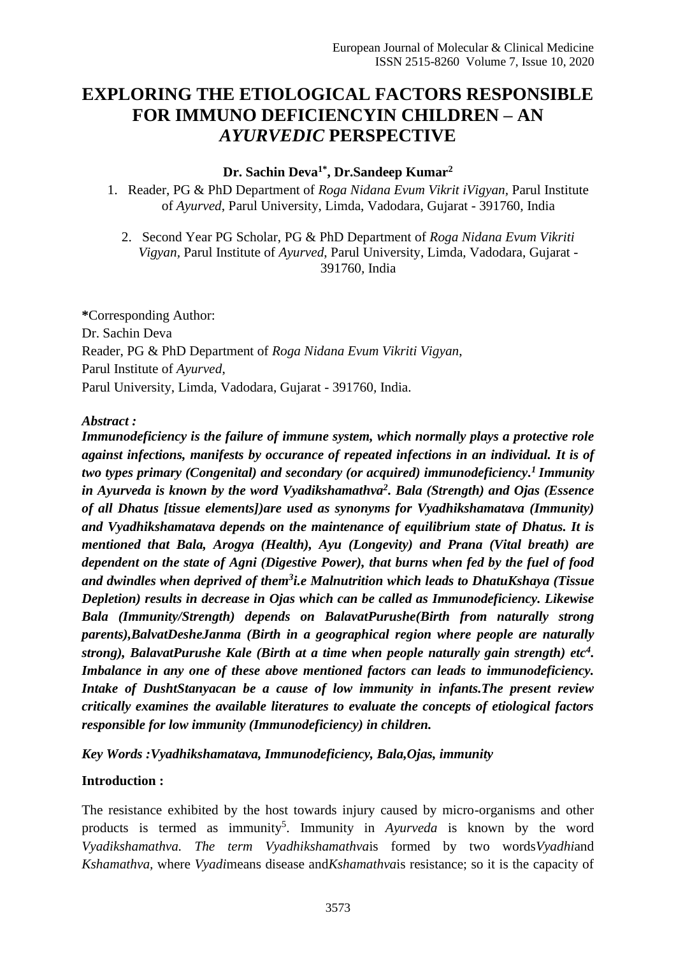# **EXPLORING THE ETIOLOGICAL FACTORS RESPONSIBLE FOR IMMUNO DEFICIENCYIN CHILDREN – AN**  *AYURVEDIC* **PERSPECTIVE**

#### **Dr. Sachin Deva1\* , Dr.Sandeep Kumar<sup>2</sup>**

1. Reader, PG & PhD Department of *Roga Nidana Evum Vikrit iVigyan,* Parul Institute of *Ayurved*, Parul University, Limda, Vadodara, Gujarat - 391760*,* India

2. Second Year PG Scholar, PG & PhD Department of *Roga Nidana Evum Vikriti Vigyan,* Parul Institute of *Ayurved*, Parul University, Limda, Vadodara, Gujarat - 391760*,* India

**\***Corresponding Author: Dr. Sachin Deva Reader, PG & PhD Department of *Roga Nidana Evum Vikriti Vigyan*, Parul Institute of *Ayurved*, Parul University, Limda, Vadodara, Gujarat - 391760*,* India.

#### *Abstract :*

*Immunodeficiency is the failure of immune system, which normally plays a protective role against infections, manifests by occurance of repeated infections in an individual. It is of two types primary (Congenital) and secondary (or acquired) immunodeficiency. <sup>1</sup>Immunity in Ayurveda is known by the word Vyadikshamathva<sup>2</sup> . Bala (Strength) and Ojas (Essence of all Dhatus [tissue elements])are used as synonyms for Vyadhikshamatava (Immunity) and Vyadhikshamatava depends on the maintenance of equilibrium state of Dhatus. It is mentioned that Bala, Arogya (Health), Ayu (Longevity) and Prana (Vital breath) are dependent on the state of Agni (Digestive Power), that burns when fed by the fuel of food and dwindles when deprived of them<sup>3</sup> i.e Malnutrition which leads to DhatuKshaya (Tissue Depletion) results in decrease in Ojas which can be called as Immunodeficiency. Likewise Bala (Immunity/Strength) depends on BalavatPurushe(Birth from naturally strong parents),BalvatDesheJanma (Birth in a geographical region where people are naturally strong), BalavatPurushe Kale (Birth at a time when people naturally gain strength) etc<sup>4</sup> . Imbalance in any one of these above mentioned factors can leads to immunodeficiency. Intake of DushtStanyacan be a cause of low immunity in infants.The present review critically examines the available literatures to evaluate the concepts of etiological factors responsible for low immunity (Immunodeficiency) in children.* 

*Key Words :Vyadhikshamatava, Immunodeficiency, Bala,Ojas, immunity*

#### **Introduction :**

The resistance exhibited by the host towards injury caused by micro-organisms and other products is termed as immunity<sup>5</sup>. Immunity in *Ayurveda* is known by the word *Vyadikshamathva. The term Vyadhikshamathva*is formed by two words*Vyadhi*and *Kshamathva,* where *Vyadi*means disease and*Kshamathva*is resistance; so it is the capacity of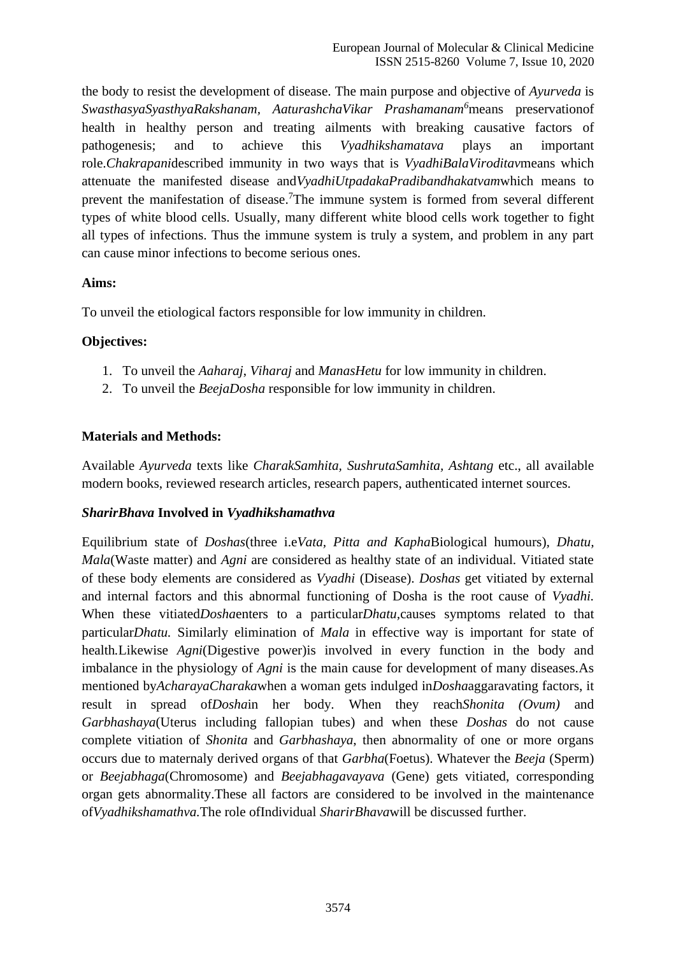the body to resist the development of disease. The main purpose and objective of *Ayurveda* is *SwasthasyaSyasthyaRakshanam, AaturashchaVikar Prashamanam<sup>6</sup>*means preservationof health in healthy person and treating ailments with breaking causative factors of pathogenesis; and to achieve this *Vyadhikshamatava* plays an important role.*Chakrapani*described immunity in two ways that is *VyadhiBalaViroditav*means which attenuate the manifested disease and*VyadhiUtpadakaPradibandhakatvam*which means to prevent the manifestation of disease.<sup>7</sup>The immune system is formed from several different types of white blood cells. Usually, many different white blood cells work together to fight all types of infections. Thus the immune system is truly a system, and problem in any part can cause minor infections to become serious ones.

#### **Aims:**

To unveil the etiological factors responsible for low immunity in children.

#### **Objectives:**

- 1. To unveil the *Aaharaj*, *Viharaj* and *ManasHetu* for low immunity in children.
- 2. To unveil the *BeejaDosha* responsible for low immunity in children.

#### **Materials and Methods:**

Available *Ayurveda* texts like *CharakSamhita, SushrutaSamhita, Ashtang* etc., all available modern books, reviewed research articles, research papers, authenticated internet sources.

## *SharirBhava* **Involved in** *Vyadhikshamathva*

Equilibrium state of *Doshas*(three i.e*Vata, Pitta and Kapha*Biological humours)*, Dhatu, Mala*(Waste matter) and *Agni* are considered as healthy state of an individual. Vitiated state of these body elements are considered as *Vyadhi* (Disease). *Doshas* get vitiated by external and internal factors and this abnormal functioning of Dosha is the root cause of *Vyadhi.*  When these vitiated*Dosha*enters to a particular*Dhatu,*causes symptoms related to that particular*Dhatu.* Similarly elimination of *Mala* in effective way is important for state of health*.*Likewise *Agni*(Digestive power)is involved in every function in the body and imbalance in the physiology of *Agni* is the main cause for development of many diseases*.*As mentioned by*AcharayaCharaka*when a woman gets indulged in*Dosha*aggaravating factors, it result in spread of*Dosha*in her body*.* When they reach*Shonita (Ovum)* and *Garbhashaya*(Uterus including fallopian tubes) and when these *Doshas* do not cause complete vitiation of *Shonita* and *Garbhashaya*, then abnormality of one or more organs occurs due to maternaly derived organs of that *Garbha*(Foetus). Whatever the *Beeja* (Sperm) or *Beejabhaga*(Chromosome) and *Beejabhagavayava* (Gene) gets vitiated, corresponding organ gets abnormality.These all factors are considered to be involved in the maintenance of*Vyadhikshamathva.*The role ofIndividual *SharirBhava*will be discussed further.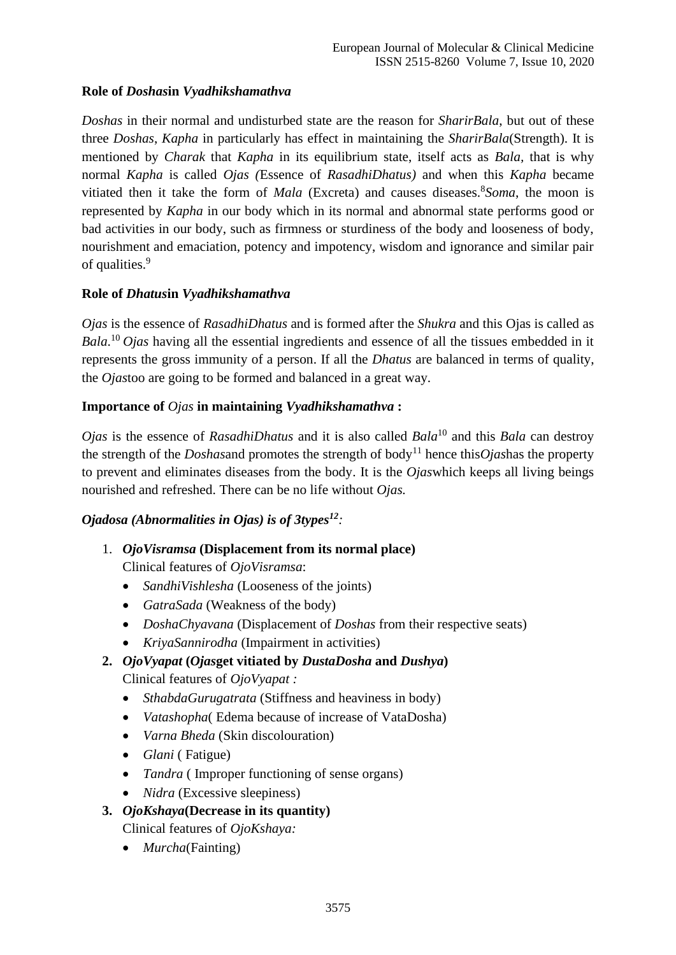# **Role of** *Doshas***in** *Vyadhikshamathva*

*Doshas* in their normal and undisturbed state are the reason for *SharirBala*, but out of these three *Doshas*, *Kapha* in particularly has effect in maintaining the *SharirBala*(Strength). It is mentioned by *Charak* that *Kapha* in its equilibrium state, itself acts as *Bala,* that is why normal *Kapha* is called *Ojas (*Essence of *RasadhiDhatus)* and when this *Kapha* became vitiated then it take the form of *Mala* (Excreta) and causes diseases. <sup>8</sup>Soma, the moon is represented by *Kapha* in our body which in its normal and abnormal state performs good or bad activities in our body, such as firmness or sturdiness of the body and looseness of body, nourishment and emaciation, potency and impotency, wisdom and ignorance and similar pair of qualities.<sup>9</sup>

# **Role of** *Dhatus***in** *Vyadhikshamathva*

*Ojas* is the essence of *RasadhiDhatus* and is formed after the *Shukra* and this Ojas is called as *Bala*. <sup>10</sup>*Ojas* having all the essential ingredients and essence of all the tissues embedded in it represents the gross immunity of a person. If all the *Dhatus* are balanced in terms of quality, the *Ojas*too are going to be formed and balanced in a great way.

# **Importance of** *Ojas* **in maintaining** *Vyadhikshamathva* **:**

*Ojas* is the essence of *RasadhiDhatus* and it is also called *Bala*<sup>10</sup> and this *Bala* can destroy the strength of the *Doshasand* promotes the strength of body<sup>11</sup> hence this*Oiashas* the property to prevent and eliminates diseases from the body. It is the *Ojas*which keeps all living beings nourished and refreshed. There can be no life without *Ojas.*

## *Ojadosa (Abnormalities in Ojas) is of 3types<sup>12</sup>:*

- 1. *OjoVisramsa* **(Displacement from its normal place)** Clinical features of *OjoVisramsa*:
	- *SandhiVishlesha* (Looseness of the joints)
	- *GatraSada* (Weakness of the body)
	- *DoshaChyavana* (Displacement of *Doshas* from their respective seats)
	- *KriyaSannirodha* (Impairment in activities)
- **2.** *OjoVyapat* **(***Ojas***get vitiated by** *DustaDosha* **and** *Dushya***)** Clinical features of *OjoVyapat :*
	- *SthabdaGurugatrata* (Stiffness and heaviness in body)
	- *Vatashopha*( Edema because of increase of VataDosha)
	- *Varna Bheda* (Skin discolouration)
	- *Glani* ( Fatigue)
	- *Tandra* (Improper functioning of sense organs)
	- *Nidra* (Excessive sleepiness)
- **3.** *OjoKshaya***(Decrease in its quantity)** Clinical features of *OjoKshaya:*
	- *Murcha*(Fainting)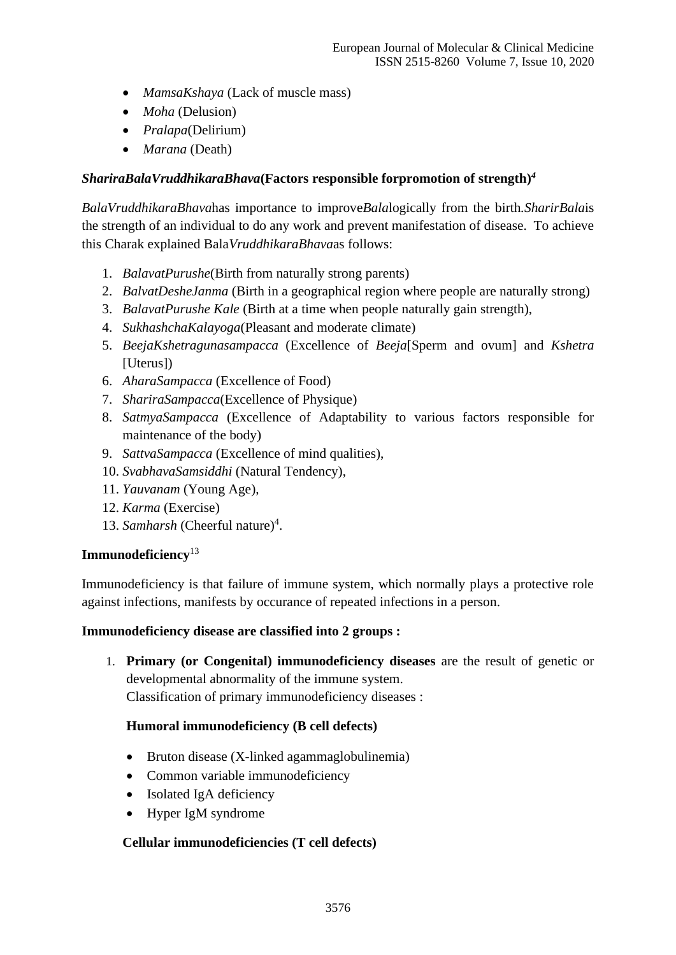- *MamsaKshaya* (Lack of muscle mass)
- *Moha* (Delusion)
- *Pralapa*(Delirium)
- *Marana* (Death)

#### *ShariraBalaVruddhikaraBhava***(Factors responsible forpromotion of strength)** *4*

*BalaVruddhikaraBhava*has importance to improve*Bala*logically from the birth*.SharirBala*is the strength of an individual to do any work and prevent manifestation of disease. To achieve this Charak explained Bala*VruddhikaraBhava*as follows:

- 1. *BalavatPurushe*(Birth from naturally strong parents)
- 2. *BalvatDesheJanma* (Birth in a geographical region where people are naturally strong)
- 3. *BalavatPurushe Kale* (Birth at a time when people naturally gain strength),
- 4. *SukhashchaKalayoga*(Pleasant and moderate climate)
- 5. *BeejaKshetragunasampacca* (Excellence of *Beeja*[Sperm and ovum] and *Kshetra* [Uterus])
- 6. *AharaSampacca* (Excellence of Food)
- 7. *ShariraSampacca*(Excellence of Physique)
- 8. *SatmyaSampacca* (Excellence of Adaptability to various factors responsible for maintenance of the body)
- 9. *SattvaSampacca* (Excellence of mind qualities),
- 10. *SvabhavaSamsiddhi* (Natural Tendency),
- 11. *Yauvanam* (Young Age),
- 12. *Karma* (Exercise)
- 13. Samharsh (Cheerful nature)<sup>4</sup>.

## **Immunodeficiency**<sup>13</sup>

Immunodeficiency is that failure of immune system, which normally plays a protective role against infections, manifests by occurance of repeated infections in a person.

#### **Immunodeficiency disease are classified into 2 groups :**

1. **Primary (or Congenital) immunodeficiency diseases** are the result of genetic or developmental abnormality of the immune system. Classification of primary immunodeficiency diseases :

## **Humoral immunodeficiency (B cell defects)**

- Bruton disease (X-linked agammaglobulinemia)
- Common variable immunodeficiency
- Isolated IgA deficiency
- Hyper IgM syndrome

## **Cellular immunodeficiencies (T cell defects)**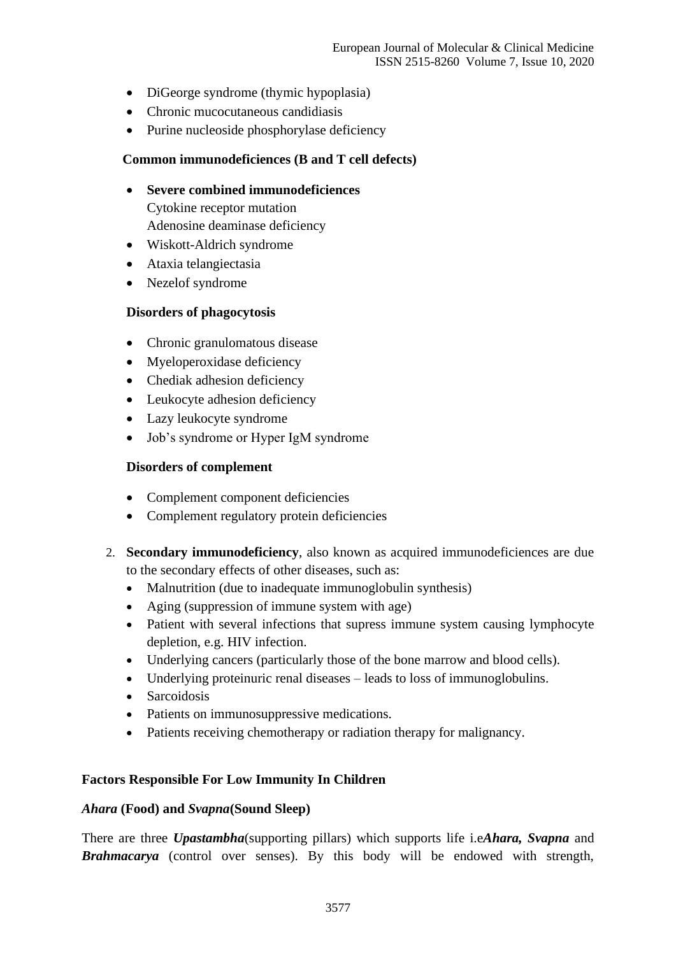- DiGeorge syndrome (thymic hypoplasia)
- Chronic mucocutaneous candidiasis
- Purine nucleoside phosphorylase deficiency

#### **Common immunodeficiences (B and T cell defects)**

• **Severe combined immunodeficiences** Cytokine receptor mutation

Adenosine deaminase deficiency

- Wiskott-Aldrich syndrome
- Ataxia telangiectasia
- Nezelof syndrome

#### **Disorders of phagocytosis**

- Chronic granulomatous disease
- Myeloperoxidase deficiency
- Chediak adhesion deficiency
- Leukocyte adhesion deficiency
- Lazy leukocyte syndrome
- Job's syndrome or Hyper IgM syndrome

#### **Disorders of complement**

- Complement component deficiencies
- Complement regulatory protein deficiencies
- 2. **Secondary immunodeficiency**, also known as acquired immunodeficiences are due to the secondary effects of other diseases, such as:
	- Malnutrition (due to inadequate immunoglobulin synthesis)
	- Aging (suppression of immune system with age)
	- Patient with several infections that supress immune system causing lymphocyte depletion, e.g. HIV infection.
	- Underlying cancers (particularly those of the bone marrow and blood cells).
	- Underlying proteinuric renal diseases leads to loss of immunoglobulins.
	- Sarcoidosis
	- Patients on immunosuppressive medications.
	- Patients receiving chemotherapy or radiation therapy for malignancy.

#### **Factors Responsible For Low Immunity In Children**

#### *Ahara* **(Food) and** *Svapna***(Sound Sleep)**

There are three *Upastambha*(supporting pillars) which supports life i.e*Ahara, Svapna* and *Brahmacarya* (control over senses). By this body will be endowed with strength,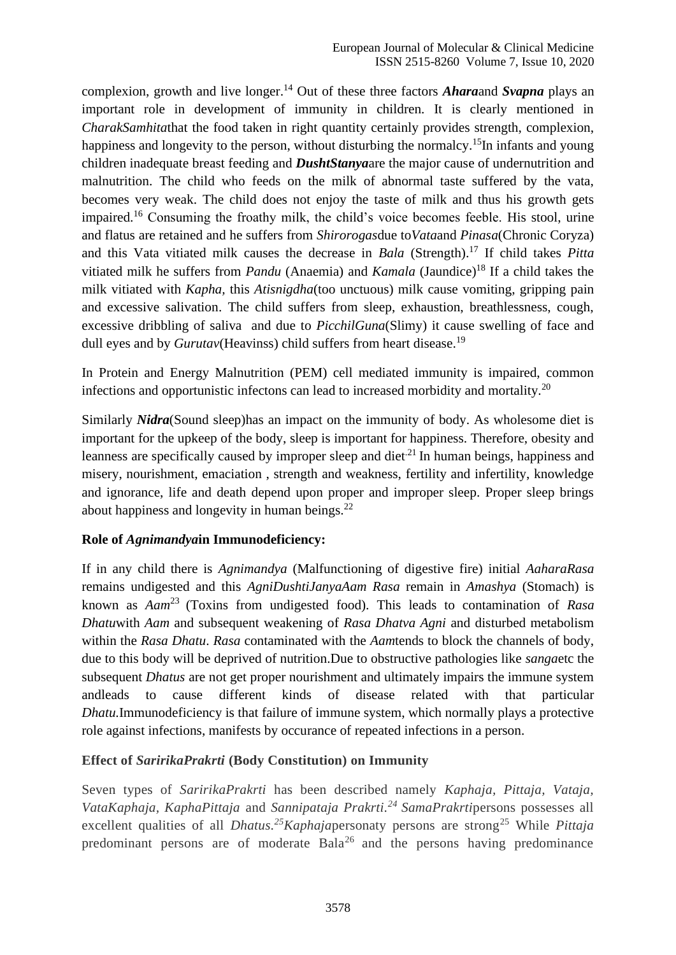complexion, growth and live longer. <sup>14</sup> Out of these three factors *Ahara*and *Svapna* plays an important role in development of immunity in children. It is clearly mentioned in *CharakSamhita*that the food taken in right quantity certainly provides strength, complexion, happiness and longevity to the person, without disturbing the normalcy.<sup>15</sup>In infants and young children inadequate breast feeding and *DushtStanya*are the major cause of undernutrition and malnutrition. The child who feeds on the milk of abnormal taste suffered by the vata, becomes very weak. The child does not enjoy the taste of milk and thus his growth gets impaired. <sup>16</sup> Consuming the froathy milk, the child's voice becomes feeble. His stool, urine and flatus are retained and he suffers from *Shirorogas*due to*Vata*and *Pinasa*(Chronic Coryza) and this Vata vitiated milk causes the decrease in *Bala* (Strength). <sup>17</sup> If child takes *Pitta* vitiated milk he suffers from *Pandu* (Anaemia) and *Kamala* (Jaundice)<sup>18</sup> If a child takes the milk vitiated with *Kapha,* this *Atisnigdha*(too unctuous) milk cause vomiting, gripping pain and excessive salivation. The child suffers from sleep, exhaustion, breathlessness, cough, excessive dribbling of saliva and due to *PicchilGuna*(Slimy) it cause swelling of face and dull eyes and by *Gurutav*(Heavinss) child suffers from heart disease.<sup>19</sup>

In Protein and Energy Malnutrition (PEM) cell mediated immunity is impaired, common infections and opportunistic infectons can lead to increased morbidity and mortality.<sup>20</sup>

Similarly *Nidra*(Sound sleep)has an impact on the immunity of body. As wholesome diet is important for the upkeep of the body, sleep is important for happiness. Therefore, obesity and leanness are specifically caused by improper sleep and diet<sup>21</sup> In human beings, happiness and misery, nourishment, emaciation , strength and weakness, fertility and infertility, knowledge and ignorance, life and death depend upon proper and improper sleep. Proper sleep brings about happiness and longevity in human beings. $^{22}$ 

## **Role of** *Agnimandya***in Immunodeficiency:**

If in any child there is *Agnimandya* (Malfunctioning of digestive fire) initial *AaharaRasa*  remains undigested and this *AgniDushtiJanyaAam Rasa* remain in *Amashya* (Stomach) is known as *Aam*<sup>23</sup>(Toxins from undigested food). This leads to contamination of *Rasa Dhatu*with *Aam* and subsequent weakening of *Rasa Dhatva Agni* and disturbed metabolism within the *Rasa Dhatu*. *Rasa* contaminated with the *Aam*tends to block the channels of body, due to this body will be deprived of nutrition.Due to obstructive pathologies like *sanga*etc the subsequent *Dhatus* are not get proper nourishment and ultimately impairs the immune system andleads to cause different kinds of disease related with that particular *Dhatu.*Immunodeficiency is that failure of immune system, which normally plays a protective role against infections, manifests by occurance of repeated infections in a person.

## **Effect of** *SaririkaPrakrti* **(Body Constitution) on Immunity**

Seven types of *SaririkaPrakrti* has been described namely *Kaphaja, Pittaja, Vataja, VataKaphaja, KaphaPittaja* and *Sannipataja Prakrti. <sup>24</sup>SamaPrakrti*persons possesses all excellent qualities of all *Dhatus. <sup>25</sup>Kaphaja*personaty persons are strong<sup>25</sup> While *Pittaja* predominant persons are of moderate  $Bala^{26}$  and the persons having predominance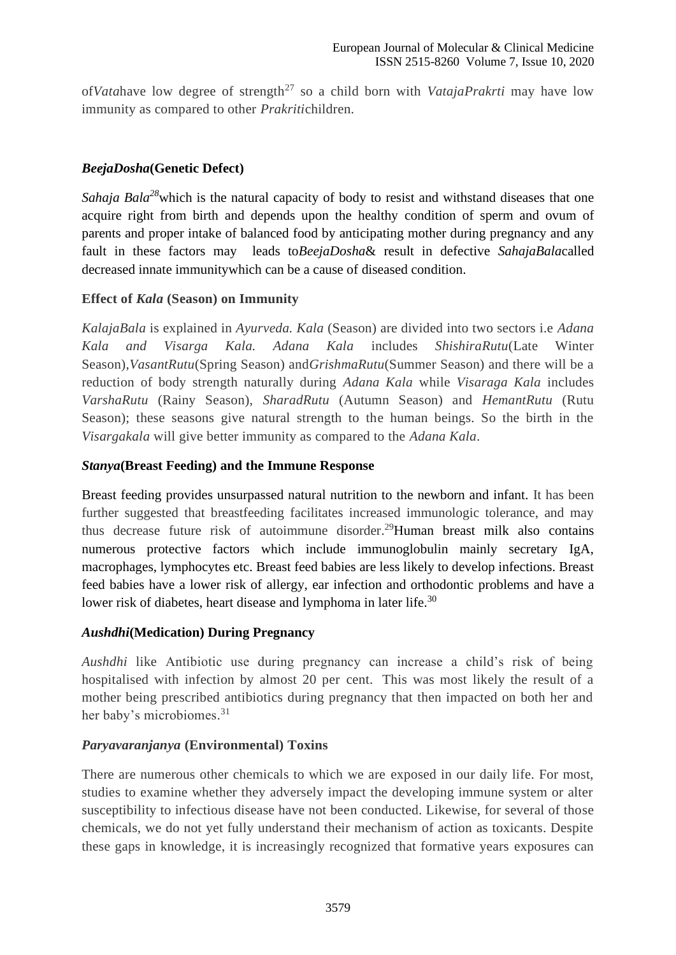of*Vatahave low degree of strength<sup>27</sup> so a child born with <i>VatajaPrakrti* may have low immunity as compared to other *Prakriti*children.

## *BeejaDosha***(Genetic Defect)**

*Sahaja Bala*<sup>28</sup>which is the natural capacity of body to resist and withstand diseases that one acquire right from birth and depends upon the healthy condition of sperm and ovum of parents and proper intake of balanced food by anticipating mother during pregnancy and any fault in these factors may leads to*BeejaDosha*& result in defective *SahajaBala*called decreased innate immunitywhich can be a cause of diseased condition.

## **Effect of** *Kala* **(Season) on Immunity**

*KalajaBala* is explained in *Ayurveda. Kala* (Season) are divided into two sectors i.e *Adana Kala and Visarga Kala. Adana Kala* includes *ShishiraRutu*(Late Winter Season),*VasantRutu*(Spring Season) and*GrishmaRutu*(Summer Season) and there will be a reduction of body strength naturally during *Adana Kala* while *Visaraga Kala* includes *VarshaRutu* (Rainy Season), *SharadRutu* (Autumn Season) and *HemantRutu* (Rutu Season); these seasons give natural strength to the human beings. So the birth in the *Visargakala* will give better immunity as compared to the *Adana Kala*.

#### *Stanya***(Breast Feeding) and the Immune Response**

Breast feeding provides unsurpassed natural nutrition to the newborn and infant. It has been further suggested that breastfeeding facilitates increased immunologic tolerance, and may thus decrease future risk of autoimmune disorder. <sup>29</sup>Human breast milk also contains numerous protective factors which include immunoglobulin mainly secretary IgA, macrophages, lymphocytes etc. Breast feed babies are less likely to develop infections. Breast feed babies have a lower risk of allergy, ear infection and orthodontic problems and have a lower risk of diabetes, heart disease and lymphoma in later life.<sup>30</sup>

#### *Aushdhi***(Medication) During Pregnancy**

*Aushdhi* like Antibiotic use during pregnancy can increase a child's risk of being hospitalised with infection by almost 20 per cent. This was most likely the result of a mother being prescribed antibiotics during pregnancy that then impacted on both her and her baby's microbiomes. 31

## *Paryavaranjanya* **(Environmental) Toxins**

There are numerous other chemicals to which we are exposed in our daily life. For most, studies to examine whether they adversely impact the developing immune system or alter susceptibility to infectious disease have not been conducted. Likewise, for several of those chemicals, we do not yet fully understand their mechanism of action as toxicants. Despite these gaps in knowledge, it is increasingly recognized that formative years exposures can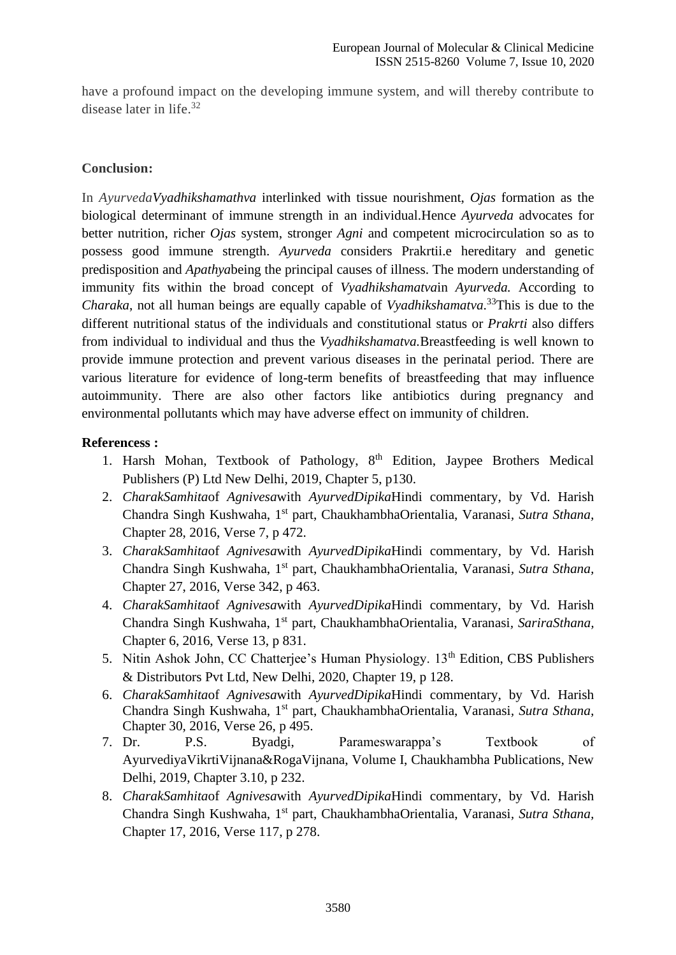have a profound impact on the developing immune system, and will thereby contribute to disease later in life. 32

### **Conclusion:**

In *AyurvedaVyadhikshamathva* interlinked with tissue nourishment, *Ojas* formation as the biological determinant of immune strength in an individual.Hence *Ayurveda* advocates for better nutrition, richer *Ojas* system, stronger *Agni* and competent microcirculation so as to possess good immune strength. *Ayurveda* considers Prakrtii.e hereditary and genetic predisposition and *Apathya*being the principal causes of illness. The modern understanding of immunity fits within the broad concept of *Vyadhikshamatva*in *Ayurveda.* According to *Charaka*, not all human beings are equally capable of *Vyadhikshamatva*. <sup>33</sup>This is due to the different nutritional status of the individuals and constitutional status or *Prakrti* also differs from individual to individual and thus the *Vyadhikshamatva.*Breastfeeding is well known to provide immune protection and prevent various diseases in the perinatal period. There are various literature for evidence of long-term benefits of breastfeeding that may influence autoimmunity. There are also other factors like antibiotics during pregnancy and environmental pollutants which may have adverse effect on immunity of children.

#### **Referencess :**

- 1. Harsh Mohan, Textbook of Pathology, 8<sup>th</sup> Edition, Jaypee Brothers Medical Publishers (P) Ltd New Delhi, 2019, Chapter 5, p130.
- 2. *CharakSamhita*of *Agnivesa*with *AyurvedDipika*Hindi commentary, by Vd. Harish Chandra Singh Kushwaha, 1st part, ChaukhambhaOrientalia, Varanasi*, Sutra Sthana,*  Chapter 28, 2016, Verse 7, p 472.
- 3. *CharakSamhita*of *Agnivesa*with *AyurvedDipika*Hindi commentary, by Vd. Harish Chandra Singh Kushwaha, 1st part, ChaukhambhaOrientalia, Varanasi*, Sutra Sthana,*  Chapter 27, 2016, Verse 342, p 463.
- 4. *CharakSamhita*of *Agnivesa*with *AyurvedDipika*Hindi commentary, by Vd. Harish Chandra Singh Kushwaha, 1st part, ChaukhambhaOrientalia, Varanasi*, SariraSthana,*  Chapter 6, 2016, Verse 13, p 831.
- 5. Nitin Ashok John, CC Chatterjee's Human Physiology. 13<sup>th</sup> Edition, CBS Publishers & Distributors Pvt Ltd, New Delhi, 2020, Chapter 19, p 128.
- 6. *CharakSamhita*of *Agnivesa*with *AyurvedDipika*Hindi commentary, by Vd. Harish Chandra Singh Kushwaha, 1st part, ChaukhambhaOrientalia, Varanasi*, Sutra Sthana,*  Chapter 30, 2016, Verse 26, p 495.
- 7. Dr. P.S. Byadgi, Parameswarappa's Textbook of AyurvediyaVikrtiVijnana&RogaVijnana, Volume I, Chaukhambha Publications, New Delhi, 2019, Chapter 3.10, p 232.
- 8. *CharakSamhita*of *Agnivesa*with *AyurvedDipika*Hindi commentary, by Vd. Harish Chandra Singh Kushwaha, 1st part, ChaukhambhaOrientalia, Varanasi*, Sutra Sthana,*  Chapter 17, 2016, Verse 117, p 278.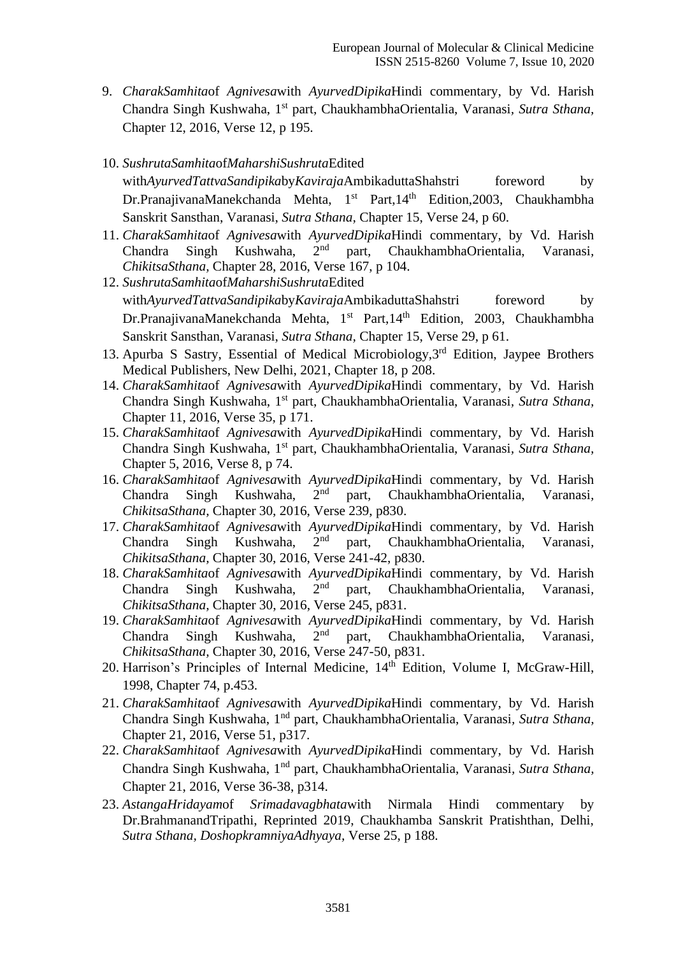- 9. *CharakSamhita*of *Agnivesa*with *AyurvedDipika*Hindi commentary, by Vd. Harish Chandra Singh Kushwaha, 1st part, ChaukhambhaOrientalia, Varanasi*, Sutra Sthana,*  Chapter 12, 2016, Verse 12, p 195.
- 10. *SushrutaSamhita*of*MaharshiSushruta*Edited with*AyurvedTattvaSandipikabyKavirajaAmbikaduttaShahstri foreword by* Dr.PranajivanaManekchanda Mehta,  $1<sup>st</sup>$  Part,  $14<sup>th</sup>$  Edition, 2003, Chaukhambha Sanskrit Sansthan, Varanasi, *Sutra Sthana,* Chapter 15, Verse 24, p 60.
- 11. *CharakSamhita*of *Agnivesa*with *AyurvedDipika*Hindi commentary, by Vd. Harish Chandra Singh Kushwaha, 2nd part, ChaukhambhaOrientalia, Varanasi*, ChikitsaSthana,* Chapter 28, 2016, Verse 167, p 104.
- 12. *SushrutaSamhita*of*MaharshiSushruta*Edited with*AyurvedTattvaSandipikabyKavirajaAmbikaduttaShahstri foreword by* Dr.PranajivanaManekchanda Mehta, 1<sup>st</sup> Part,14<sup>th</sup> Edition, 2003, Chaukhambha Sanskrit Sansthan, Varanasi, *Sutra Sthana,* Chapter 15, Verse 29, p 61.
- 13. Apurba S Sastry, Essential of Medical Microbiology,3rd Edition, Jaypee Brothers Medical Publishers, New Delhi, 2021, Chapter 18, p 208.
- 14. *CharakSamhita*of *Agnivesa*with *AyurvedDipika*Hindi commentary, by Vd. Harish Chandra Singh Kushwaha, 1st part, ChaukhambhaOrientalia, Varanasi*, Sutra Sthana,*  Chapter 11, 2016, Verse 35, p 171.
- 15. *CharakSamhita*of *Agnivesa*with *AyurvedDipika*Hindi commentary, by Vd. Harish Chandra Singh Kushwaha, 1st part, ChaukhambhaOrientalia, Varanasi*, Sutra Sthana,*  Chapter 5, 2016, Verse 8, p 74.
- 16. *CharakSamhita*of *Agnivesa*with *AyurvedDipika*Hindi commentary, by Vd. Harish Chandra Singh Kushwaha, 2nd part, ChaukhambhaOrientalia, Varanasi*, ChikitsaSthana,* Chapter 30, 2016, Verse 239, p830.
- 17. *CharakSamhita*of *Agnivesa*with *AyurvedDipika*Hindi commentary, by Vd. Harish Chandra Singh Kushwaha, 2nd part, ChaukhambhaOrientalia, Varanasi*, ChikitsaSthana,* Chapter 30, 2016, Verse 241-42, p830.
- 18. *CharakSamhita*of *Agnivesa*with *AyurvedDipika*Hindi commentary, by Vd. Harish Chandra Singh Kushwaha, 2nd part, ChaukhambhaOrientalia, Varanasi*, ChikitsaSthana,* Chapter 30, 2016, Verse 245, p831.
- 19. *CharakSamhita*of *Agnivesa*with *AyurvedDipika*Hindi commentary, by Vd. Harish Chandra Singh Kushwaha, 2nd part, ChaukhambhaOrientalia, Varanasi*, ChikitsaSthana,* Chapter 30, 2016, Verse 247-50, p831.
- 20. Harrison's Principles of Internal Medicine, 14<sup>th</sup> Edition, Volume I, McGraw-Hill, 1998, Chapter 74, p.453.
- 21. *CharakSamhita*of *Agnivesa*with *AyurvedDipika*Hindi commentary, by Vd. Harish Chandra Singh Kushwaha, 1nd part, ChaukhambhaOrientalia, Varanasi*, Sutra Sthana,*  Chapter 21, 2016, Verse 51, p317.
- 22. *CharakSamhita*of *Agnivesa*with *AyurvedDipika*Hindi commentary, by Vd. Harish Chandra Singh Kushwaha, 1nd part, ChaukhambhaOrientalia, Varanasi*, Sutra Sthana,*  Chapter 21, 2016, Verse 36-38, p314.
- 23. *AstangaHridayam*of *Srimadavagbhata*with Nirmala Hindi commentary by Dr.BrahmanandTripathi, Reprinted 2019, Chaukhamba Sanskrit Pratishthan, Delhi, *Sutra Sthana, DoshopkramniyaAdhyaya,* Verse 25, p 188.